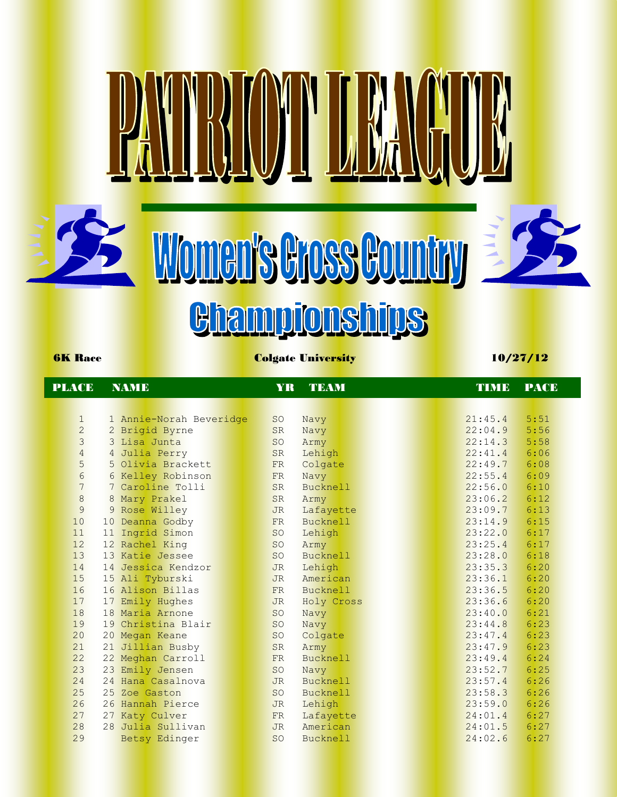# $\begin{bmatrix} 1 \\ 2 \end{bmatrix}$ Women's Gross Country

## <u>Ghampionships</u>

### 6K Race Colgate University 10/27/12

| <b>PLACE</b> |                 | <b>NAME</b> |                         | YR             | <b>TEAM</b>     | TIME    | <b>PACE</b> |  |
|--------------|-----------------|-------------|-------------------------|----------------|-----------------|---------|-------------|--|
|              |                 |             |                         |                |                 |         |             |  |
|              | $\mathbf{1}$    |             | 1 Annie-Norah Beveridge | <b>SO</b>      | Navy            | 21:45.4 | 5:51        |  |
|              | $\overline{c}$  |             | 2 Brigid Byrne          | SR             | Navy            | 22:04.9 | 5:56        |  |
|              | $\mathcal{E}$   |             | 3 Lisa Junta            | <b>SO</b>      | Army            | 22:14.3 | 5:58        |  |
|              | $\overline{4}$  |             | 4 Julia Perry           | <b>SR</b>      | Lehigh          | 22:41.4 | 6:06        |  |
|              | 5               |             | 5 Olivia Brackett       | FR             | Colgate         | 22:49.7 | 6:08        |  |
|              | $\sqrt{6}$      |             | 6 Kelley Robinson       | <b>FR</b>      | Navy            | 22:55.4 | 6:09        |  |
|              | $7\phantom{.0}$ |             | 7 Caroline Tolli        | SR             | <b>Bucknell</b> | 22:56.0 | 6:10        |  |
|              | $\,8\,$         |             | 8 Mary Prakel           | <b>SR</b>      | Army            | 23:06.2 | 6:12        |  |
|              | 9               |             | 9 Rose Willey           | <b>JR</b>      | Lafayette       | 23:09.7 | 6:13        |  |
|              | 10              | 10          | Deanna Godby            | FR             | <b>Bucknell</b> | 23:14.9 | 6:15        |  |
|              | 11              |             | 11 Ingrid Simon         | <b>SO</b>      | Lehigh          | 23:22.0 | 6:17        |  |
|              | 12              |             | 12 Rachel King          | <b>SO</b>      | Army            | 23:25.4 | 6:17        |  |
|              | 13              |             | 13 Katie Jessee         | <b>SO</b>      | <b>Bucknell</b> | 23:28.0 | 6:18        |  |
|              | 14              |             | 14 Jessica Kendzor      | <b>JR</b>      | Lehigh          | 23:35.3 | 6:20        |  |
|              | 15              |             | 15 Ali Tyburski         | <b>JR</b>      | American        | 23:36.1 | 6:20        |  |
|              | 16              |             | 16 Alison Billas        | FR             | <b>Bucknell</b> | 23:36.5 | 6:20        |  |
|              | 17              |             | 17 Emily Hughes         | <b>JR</b>      | Holy Cross      | 23:36.6 | 6:20        |  |
|              | 18              |             | 18 Maria Arnone         | <b>SO</b>      | Navy            | 23:40.0 | 6:21        |  |
|              | 19              |             | 19 Christina Blair      | <b>SO</b>      | Navy            | 23:44.8 | 6:23        |  |
|              | 20              |             | 20 Megan Keane          | <b>SO</b>      | Colgate         | 23:47.4 | 6:23        |  |
|              | 21              | 21          | Jillian Busby           | SR             | Army            | 23:47.9 | 6:23        |  |
|              | 22              |             | 22 Meghan Carroll       | <b>FR</b>      | <b>Bucknell</b> | 23:49.4 | 6:24        |  |
|              | 23              |             | 23 Emily Jensen         | <b>SO</b>      | Navy            | 23:52.7 | 6:25        |  |
|              | 24              |             | 24 Hana Casalnova       | <b>JR</b>      | <b>Bucknell</b> | 23:57.4 | 6:26        |  |
|              | 25              |             | 25 Zoe Gaston           | S <sub>O</sub> | <b>Bucknell</b> | 23:58.3 | 6:26        |  |
|              | 26              |             | 26 Hannah Pierce        | <b>JR</b>      | Lehigh          | 23:59.0 | 6:26        |  |
|              | 27              |             | 27 Katy Culver          | FR             | Lafayette       | 24:01.4 | 6:27        |  |
|              | 28              |             | 28 Julia Sullivan       | <b>JR</b>      | American        | 24:01.5 | 6:27        |  |
|              | 29              |             | Betsy Edinger           | <b>SO</b>      | <b>Bucknell</b> | 24:02.6 | 6:27        |  |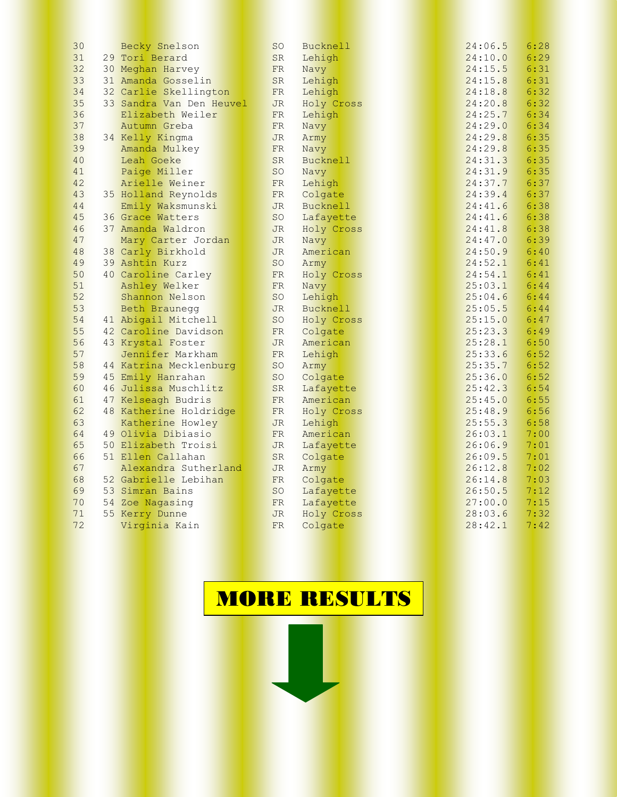| 30 | Becky Snelson            | <b>SO</b> | <b>Bucknell</b> | 24:06.5 | 6:28 |
|----|--------------------------|-----------|-----------------|---------|------|
| 31 | 29 Tori Berard           | <b>SR</b> | Lehigh          | 24:10.0 | 6:29 |
| 32 | 30 Meghan Harvey         | FR        | Navy            | 24:15.5 | 6:31 |
| 33 | 31 Amanda Gosselin       | SR        | Lehigh          | 24:15.8 | 6:31 |
| 34 | 32 Carlie Skellington    | FR        | Lehigh          | 24:18.8 | 6:32 |
| 35 | 33 Sandra Van Den Heuvel | <b>JR</b> | Holy Cross      | 24:20.8 | 6:32 |
| 36 | Elizabeth Weiler         | FR        | Lehigh          | 24:25.7 | 6:34 |
| 37 | Autumn Greba             | FR        | Navy            | 24:29.0 | 6:34 |
| 38 | 34 Kelly Kingma          | <b>JR</b> | Army            | 24:29.8 | 6:35 |
| 39 | Amanda Mulkey            | FR        | Navy            | 24:29.8 | 6:35 |
| 40 | Leah Goeke               | <b>SR</b> | <b>Bucknell</b> | 24:31.3 | 6:35 |
| 41 | Paige Miller             | <b>SO</b> | Navy            | 24:31.9 | 6:35 |
| 42 | Arielle Weiner           | FR        | Lehigh          | 24:37.7 | 6:37 |
| 43 | 35 Holland Reynolds      | FR        | Colgate         | 24:39.4 | 6:37 |
| 44 | Emily Waksmunski         | <b>JR</b> | <b>Bucknell</b> | 24:41.6 | 6:38 |
| 45 | 36 Grace Watters         | <b>SO</b> | Lafayette       | 24:41.6 | 6:38 |
| 46 | 37 Amanda Waldron        | <b>JR</b> | Holy Cross      | 24:41.8 | 6:38 |
| 47 | Mary Carter Jordan       | <b>JR</b> | Navy            | 24:47.0 | 6:39 |
| 48 | 38 Carly Birkhold        | <b>JR</b> | American        | 24:50.9 | 6:40 |
| 49 | 39 Ashtin Kurz           | <b>SO</b> | Army            | 24:52.1 | 6:41 |
| 50 | 40 Caroline Carley       | FR        | Holy Cross      | 24:54.1 | 6:41 |
| 51 | Ashley Welker            | FR        | Navy            | 25:03.1 | 6:44 |
| 52 | Shannon Nelson           | <b>SO</b> | Lehigh          | 25:04.6 | 6:44 |
| 53 | Beth Braunegg            | <b>JR</b> | <b>Bucknell</b> | 25:05.5 | 6:44 |
| 54 | 41 Abigail Mitchell      | <b>SO</b> | Holy Cross      | 25:15.0 | 6:47 |
| 55 | 42 Caroline Davidson     | FR        | Colgate         | 25:23.3 | 6:49 |
| 56 | 43 Krystal Foster        | <b>JR</b> | American        | 25:28.1 | 6:50 |
| 57 | Jennifer Markham         | FR        | Lehigh          | 25:33.6 | 6:52 |
| 58 | 44 Katrina Mecklenburg   | <b>SO</b> | Army            | 25:35.7 | 6:52 |
| 59 | 45 Emily Hanrahan        | <b>SO</b> | Colgate         | 25:36.0 | 6:52 |
| 60 | 46 Julissa Muschlitz     | <b>SR</b> | Lafayette       | 25:42.3 | 6:54 |
| 61 | 47 Kelseagh Budris       | FR        | American        | 25:45.0 | 6:55 |
| 62 | 48 Katherine Holdridge   | FR        | Holy Cross      | 25:48.9 | 6:56 |
| 63 | Katherine Howley         | <b>JR</b> | Lehigh          | 25:55.3 | 6:58 |
| 64 | 49 Olivia Dibiasio       | FR        | American        | 26:03.1 | 7:00 |
| 65 | 50 Elizabeth Troisi      | <b>JR</b> | Lafayette       | 26:06.9 | 7:01 |
| 66 | 51 Ellen Callahan        | <b>SR</b> | Colgate         | 26:09.5 | 7:01 |
| 67 | Alexandra Sutherland     | <b>JR</b> | Army            | 26:12.8 | 7:02 |
| 68 | 52 Gabrielle Lebihan     | FR        | Colgate         | 26:14.8 | 7:03 |
| 69 | 53 Simran Bains          | <b>SO</b> | Lafayette       | 26:50.5 | 7:12 |
| 70 | 54 Zoe Nagasing          | FR        | Lafayette       | 27:00.0 | 7:15 |
| 71 | 55 Kerry Dunne           | <b>JR</b> | Holy Cross      | 28:03.6 | 7:32 |
| 72 | Virginia Kain            | FR        | Colgate         | 28:42.1 | 7:42 |
|    |                          |           |                 |         |      |

### MORE RESULTS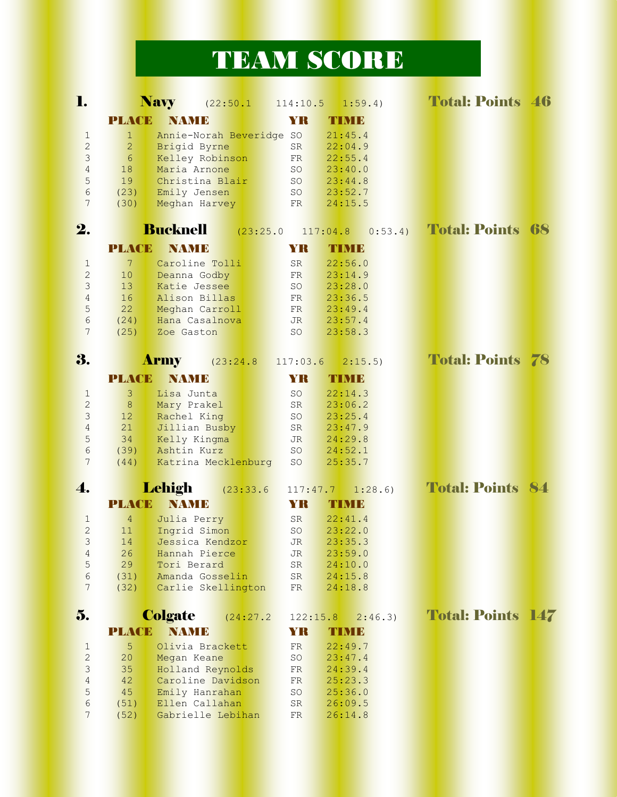## TEAM SCORE

| l. |                                      | <b>Navy</b>     | (22:50.1)                             | 114:10.5         | 1:59.4)            | <b>Total: Points 46</b>  |  |
|----|--------------------------------------|-----------------|---------------------------------------|------------------|--------------------|--------------------------|--|
|    | PLACE                                |                 | <b>NAMB</b>                           | YR               | TIMB               |                          |  |
|    | $\mathbf{1}$<br>$\mathbf{1}$         |                 | Annie-Norah Beveridge SO              |                  | 21:45.4            |                          |  |
|    | $\overline{2}$<br>$\mathbf{2}$       |                 | Brigid Byrne                          | ${\rm SR}$       | 22:04.9            |                          |  |
|    | 3<br>6                               |                 | Kelley Robinson                       | FR               | 22:55.4            |                          |  |
|    | $\overline{4}$<br>18                 |                 | Maria Arnone                          | SO <sub>1</sub>  | 23:40.0            |                          |  |
|    | 5<br>19                              |                 | Christina Blair                       | SO               | 23:44.8            |                          |  |
|    | 6<br>(23)<br>7                       |                 | Emily Jensen                          | SO               | 23:52.7            |                          |  |
|    | (30)                                 |                 | Meghan Harvey                         | FR               | 24:15.5            |                          |  |
| 2. |                                      | <b>Bucknell</b> | (23:25.0)                             |                  | 0:53.4<br>117:04.8 | <b>Total: Points 68</b>  |  |
|    | PLACE                                |                 | <b>NAMIE</b>                          | YR               | TIMB               |                          |  |
|    | $\overline{7}$<br>$\mathbf{1}$       |                 | Caroline Tolli                        | SR               | 22:56.0            |                          |  |
|    | $\overline{2}$<br>10                 |                 | Deanna Godby                          | FR               | 23:14.9            |                          |  |
|    | 3<br>13                              |                 | Katie Jessee                          | SO               | 23:28.0            |                          |  |
|    | $\overline{4}$<br>16                 |                 | Alison Billas                         | FR               | 23:36.5            |                          |  |
|    | 5<br>22                              |                 | Meghan Carroll                        | FR               | 23:49.4            |                          |  |
|    | 6<br>(24)                            |                 | Hana Casalnova                        | JR               | 23:57.4            |                          |  |
|    | 7<br>(25)                            |                 | Zoe Gaston                            | SO               | 23:58.3            |                          |  |
| 3. |                                      | <b>Army</b>     | (23:24.8                              | 117:03.6         | 2:15.5)            | <b>Total: Points 78</b>  |  |
|    | PLACE                                |                 | <b>NAMIE</b>                          | YR               | TIMB               |                          |  |
|    | 3<br>1                               |                 | Lisa Junta                            | SO               | 22:14.3            |                          |  |
|    | $\overline{2}$<br>$\boldsymbol{8}$   |                 | Mary Prakel                           | SR               | 23:06.2            |                          |  |
|    | 3<br>12                              |                 | Rachel King                           | SO <sub>1</sub>  | 23:25.4            |                          |  |
|    | $\overline{4}$<br>21                 |                 | Jillian Busby                         | ${\rm SR}$       | 23:47.9            |                          |  |
|    | 5<br>34                              |                 | Kelly Kingma                          | JR               | 24:29.8            |                          |  |
|    | $6\phantom{.}6$<br>(39)              |                 | Ashtin Kurz                           | SO               | 24:52.1            |                          |  |
|    | 7<br>(44)                            |                 | Katrina Mecklenburg                   | SO <sub>1</sub>  | 25:35.7            |                          |  |
| 4. |                                      | Lehigh          | (23:33.6)                             | 117:47.7         | 1:28.6             | <b>Total: Points 84</b>  |  |
|    | <b>PLACE</b>                         |                 | <b>NAME</b>                           | YR               | <b>TYMD</b>        |                          |  |
|    | $\overline{4}$<br>1                  |                 | Julia Perry                           | SR               | 22:41.4            |                          |  |
|    | $\overline{2}$<br>11                 |                 | Ingrid Simon                          | SO               | 23:22.0            |                          |  |
|    | $\overline{3}$<br>14                 |                 | Jessica Kendzor                       | JR               | 23:35.3            |                          |  |
|    | $\overline{4}$<br>26                 |                 | Hannah Pierce                         | JR               | 23:59.0            |                          |  |
|    | 5<br>29                              |                 | Tori Berard                           | ${\rm SR}$       | 24:10.0            |                          |  |
|    | $6\phantom{.}6$<br>(31)<br>7<br>(32) |                 | Amanda Gosselin<br>Carlie Skellington | SR<br>${\rm FR}$ | 24:15.8<br>24:18.8 |                          |  |
|    |                                      |                 |                                       |                  |                    |                          |  |
| 5. |                                      | <b>Colgate</b>  | (24:27.2)                             | 122:15.8         | 2:46.3             | <b>Total: Points 147</b> |  |
|    | PLACE                                |                 | <b>NAME</b>                           | YR               | TIMB               |                          |  |
|    | 5<br>1                               |                 | Olivia Brackett                       | FR               | 22:49.7            |                          |  |
|    | $\overline{2}$<br>20                 |                 | Megan Keane                           | SO <sub>1</sub>  | 23:47.4            |                          |  |
|    | 3<br>35                              |                 | Holland Reynolds                      | ${\rm FR}$       | 24:39.4            |                          |  |
|    | $\overline{4}$<br>42                 |                 | Caroline Davidson                     | ${\rm FR}$       | 25:23.3            |                          |  |
|    | 5<br>45                              |                 | Emily Hanrahan                        | SO <sub></sub>   | 25:36.0            |                          |  |
|    | $6\,$<br>(51)                        |                 | Ellen Callahan                        | ${\rm SR}$       | 26:09.5            |                          |  |
|    | $7\phantom{.}$<br>(52)               |                 | Gabrielle Lebihan                     | FR               | 26:14.8            |                          |  |